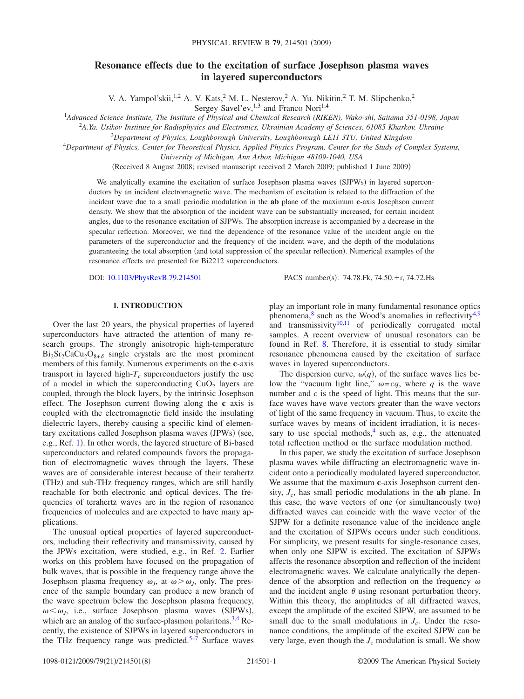# **Resonance effects due to the excitation of surface Josephson plasma waves in layered superconductors**

V. A. Yampol'skii, <sup>1,2</sup> A. V. Kats, <sup>2</sup> M. L. Nesterov, <sup>2</sup> A. Yu. Nikitin, <sup>2</sup> T. M. Slipchenko, <sup>2</sup>

Sergey Savel'ev,<sup>1,3</sup> and Franco Nori<sup>1,4</sup>

1 *Advanced Science Institute, The Institute of Physical and Chemical Research (RIKEN), Wako-shi, Saitama 351-0198, Japan*

2 *A.Ya. Usikov Institute for Radiophysics and Electronics, Ukrainian Academy of Sciences, 61085 Kharkov, Ukraine*

<sup>3</sup>*Department of Physics, Loughborough University, Loughborough LE11 3TU, United Kingdom*

<sup>4</sup>*Department of Physics, Center for Theoretical Physics, Applied Physics Program, Center for the Study of Complex Systems, University of Michigan, Ann Arbor, Michigan 48109-1040, USA*

(Received 8 August 2008; revised manuscript received 2 March 2009; published 1 June 2009)

We analytically examine the excitation of surface Josephson plasma waves (SJPWs) in layered superconductors by an incident electromagnetic wave. The mechanism of excitation is related to the diffraction of the incident wave due to a small periodic modulation in the **ab** plane of the maximum **c**-axis Josephson current density. We show that the absorption of the incident wave can be substantially increased, for certain incident angles, due to the resonance excitation of SJPWs. The absorption increase is accompanied by a decrease in the specular reflection. Moreover, we find the dependence of the resonance value of the incident angle on the parameters of the superconductor and the frequency of the incident wave, and the depth of the modulations guaranteeing the total absorption (and total suppression of the specular reflection). Numerical examples of the resonance effects are presented for Bi2212 superconductors.

DOI: [10.1103/PhysRevB.79.214501](http://dx.doi.org/10.1103/PhysRevB.79.214501)

PACS number(s): 74.78.Fk, 74.50.+r, 74.72.Hs

## **I. INTRODUCTION**

Over the last 20 years, the physical properties of layered superconductors have attracted the attention of many research groups. The strongly anisotropic high-temperature  $Bi_2Sr_2CaCu_2O_{8+\delta}$  single crystals are the most prominent members of this family. Numerous experiments on the **c**-axis transport in layered high- $T_c$  superconductors justify the use of a model in which the superconducting  $CuO<sub>2</sub>$  layers are coupled, through the block layers, by the intrinsic Josephson effect. The Josephson current flowing along the **c** axis is coupled with the electromagnetic field inside the insulating dielectric layers, thereby causing a specific kind of elementary excitations called Josephson plasma waves (JPWs) (see, e.g., Ref. [1](#page-7-0)). In other words, the layered structure of Bi-based superconductors and related compounds favors the propagation of electromagnetic waves through the layers. These waves are of considerable interest because of their terahertz (THz) and sub-THz frequency ranges, which are still hardly reachable for both electronic and optical devices. The frequencies of terahertz waves are in the region of resonance frequencies of molecules and are expected to have many applications.

The unusual optical properties of layered superconductors, including their reflectivity and transmissivity, caused by the JPWs excitation, were studied, e.g., in Ref. [2.](#page-7-1) Earlier works on this problem have focused on the propagation of bulk waves, that is possible in the frequency range above the Josephson plasma frequency  $\omega_j$ , at  $\omega > \omega_j$ , only. The presence of the sample boundary can produce a new branch of the wave spectrum below the Josephson plasma frequency,  $\omega < \omega_J$ , i.e., surface Josephson plasma waves (SJPWs), which are an analog of the surface-plasmon polaritons.<sup>3[,4](#page-7-3)</sup> Recently, the existence of SJPWs in layered superconductors in the THz frequency range was predicted.<sup>5–[7](#page-7-5)</sup> Surface waves play an important role in many fundamental resonance optics phenomena, $\frac{8}{3}$  such as the Wood's anomalies in reflectivity<sup>4[,9](#page-7-7)</sup> and transmissivity $10,11$  $10,11$  of periodically corrugated metal samples. A recent overview of unusual resonators can be found in Ref. [8.](#page-7-6) Therefore, it is essential to study similar resonance phenomena caused by the excitation of surface waves in layered superconductors.

The dispersion curve,  $\omega(q)$ , of the surface waves lies below the "vacuum light line,"  $\omega = cq$ , where *q* is the wave number and *c* is the speed of light. This means that the surface waves have wave vectors greater than the wave vectors of light of the same frequency in vacuum. Thus, to excite the surface waves by means of incident irradiation, it is necessary to use special methods, $4$  such as, e.g., the attenuated total reflection method or the surface modulation method.

In this paper, we study the excitation of surface Josephson plasma waves while diffracting an electromagnetic wave incident onto a periodically modulated layered superconductor. We assume that the maximum **c**-axis Josephson current density, *Jc*, has small periodic modulations in the **ab** plane. In this case, the wave vectors of one (or simultaneously two) diffracted waves can coincide with the wave vector of the SJPW for a definite resonance value of the incidence angle and the excitation of SJPWs occurs under such conditions. For simplicity, we present results for single-resonance cases, when only one SJPW is excited. The excitation of SJPWs affects the resonance absorption and reflection of the incident electromagnetic waves. We calculate analytically the dependence of the absorption and reflection on the frequency  $\omega$ and the incident angle  $\theta$  using resonant perturbation theory. Within this theory, the amplitudes of all diffracted waves, except the amplitude of the excited SJPW, are assumed to be small due to the small modulations in  $J_c$ . Under the resonance conditions, the amplitude of the excited SJPW can be very large, even though the  $J_c$  modulation is small. We show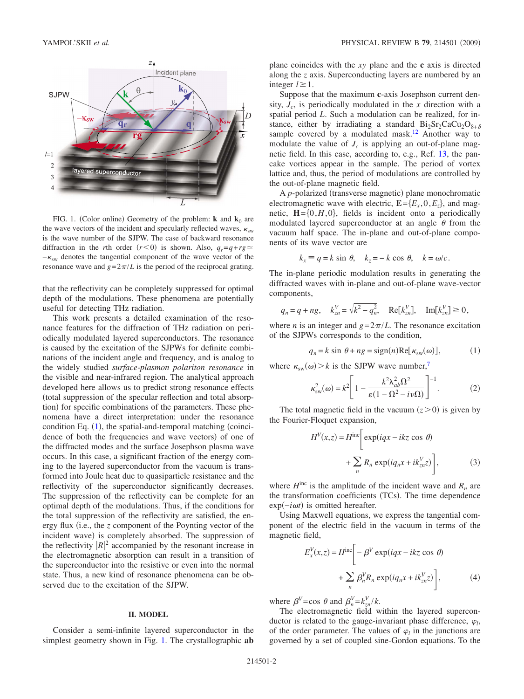<span id="page-1-1"></span>

FIG. 1. (Color online) Geometry of the problem: **k** and  $\mathbf{k}_0$  are the wave vectors of the incident and specularly reflected waves,  $\kappa_{sw}$ is the wave number of the SJPW. The case of backward resonance diffraction in the *r*th order  $(r<0)$  is shown. Also,  $q_r = q + rg \approx$  $-\kappa_{sw}$  denotes the tangential component of the wave vector of the resonance wave and  $g=2\pi/L$  is the period of the reciprocal grating.

that the reflectivity can be completely suppressed for optimal depth of the modulations. These phenomena are potentially useful for detecting THz radiation.

This work presents a detailed examination of the resonance features for the diffraction of THz radiation on periodically modulated layered superconductors. The resonance is caused by the excitation of the SJPWs for definite combinations of the incident angle and frequency, and is analog to the widely studied *surface-plasmon polariton resonance* in the visible and near-infrared region. The analytical approach developed here allows us to predict strong resonance effects total suppression of the specular reflection and total absorption) for specific combinations of the parameters. These phenomena have a direct interpretation: under the resonance condition Eq. ([1](#page-1-0)), the spatial-and-temporal matching (coincidence of both the frequencies and wave vectors) of one of the diffracted modes and the surface Josephson plasma wave occurs. In this case, a significant fraction of the energy coming to the layered superconductor from the vacuum is transformed into Joule heat due to quasiparticle resistance and the reflectivity of the superconductor significantly decreases. The suppression of the reflectivity can be complete for an optimal depth of the modulations. Thus, if the conditions for the total suppression of the reflectivity are satisfied, the energy flux (i.e., the *z* component of the Poynting vector of the incident wave) is completely absorbed. The suppression of the reflectivity  $|R|^2$  accompanied by the resonant increase in the electromagnetic absorption can result in a transition of the superconductor into the resistive or even into the normal state. Thus, a new kind of resonance phenomena can be observed due to the excitation of the SJPW.

## **II. MODEL**

Consider a semi-infinite layered superconductor in the simplest geometry shown in Fig. [1.](#page-1-1) The crystallographic **ab** plane coincides with the *xy* plane and the **c** axis is directed along the *z* axis. Superconducting layers are numbered by an integer  $l \geq 1$ .

Suppose that the maximum **c**-axis Josephson current density,  $J_c$ , is periodically modulated in the *x* direction with a spatial period *L*. Such a modulation can be realized, for instance, either by irradiating a standard  $Bi_2Sr_2CaCu_2O_{8+\delta}$ sample covered by a modulated mask.<sup>12</sup> Another way to modulate the value of  $J_c$  is applying an out-of-plane magnetic field. In this case, according to, e.g., Ref. [13,](#page-7-11) the pancake vortices appear in the sample. The period of vortex lattice and, thus, the period of modulations are controlled by the out-of-plane magnetic field.

A *p*-polarized (transverse magnetic) plane monochromatic electromagnetic wave with electric,  $\mathbf{E} = \{E_x, 0, E_z\}$ , and magnetic,  $H = \{0, H, 0\}$ , fields is incident onto a periodically modulated layered superconductor at an angle  $\theta$  from the vacuum half space. The in-plane and out-of-plane components of its wave vector are

$$
k_x \equiv q = k \sin \theta, \quad k_z = -k \cos \theta, \quad k = \omega/c.
$$

The in-plane periodic modulation results in generating the diffracted waves with in-plane and out-of-plane wave-vector components,

$$
q_n = q + ng
$$
,  $k_{zn}^V = \sqrt{k^2 - q_n^2}$ , Re[ $k_{zn}^V$ ], Im[ $k_{zn}^V$ ]  $\ge 0$ ,

where *n* is an integer and  $g=2\pi/L$ . The resonance excitation of the SJPWs corresponds to the condition,

$$
q_n = k \sin \theta + ng = sign(n) \text{Re}[\kappa_{sw}(\omega)], \tag{1}
$$

<span id="page-1-0"></span>where  $\kappa_{sw}(\omega) > k$  is the SJPW wave number,<sup>7</sup>

$$
\kappa_{\rm sw}^2(\omega) = k^2 \left[ 1 - \frac{k^2 \lambda_{ab}^2 \Omega^2}{\varepsilon (1 - \Omega^2 - i\nu \Omega)} \right]^{-1}.
$$
 (2)

<span id="page-1-2"></span>The total magnetic field in the vacuum  $(z>0)$  is given by the Fourier-Floquet expansion,

$$
H^{V}(x,z) = H^{\text{inc}} \bigg[ \exp(iqx - ikz \cos \theta) + \sum_{n} R_n \exp(iq_n x + ik_{zn}^{V} z) \bigg],
$$
 (3)

where  $H^{\text{inc}}$  is the amplitude of the incident wave and  $R_n$  are the transformation coefficients (TCs). The time dependence exp( $-iωt$ ) is omitted hereafter.

Using Maxwell equations, we express the tangential component of the electric field in the vacuum in terms of the magnetic field,

$$
E_x^V(x,z) = H^{\text{inc}} \left[ -\beta^V \exp(iqx - ikz \cos \theta) + \sum_n \beta_n^V R_n \exp(iq_n x + ik_{zn}^V z) \right],\tag{4}
$$

where  $\beta^V = \cos \theta$  and  $\beta_n^V = k_{zn}^V/k$ .

The electromagnetic field within the layered superconductor is related to the gauge-invariant phase difference,  $\varphi_l$ , of the order parameter. The values of  $\varphi$  in the junctions are governed by a set of coupled sine-Gordon equations. To the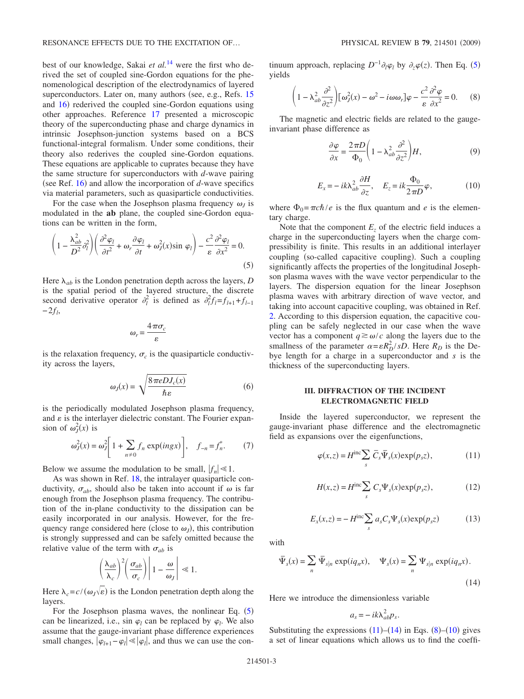best of our knowledge, Sakai *et al.*[14](#page-7-12) were the first who derived the set of coupled sine-Gordon equations for the phenomenological description of the electrodynamics of layered superconductors. Later on, many authors (see, e.g., Refs. [15](#page-7-8) and [16](#page-7-13)) rederived the coupled sine-Gordon equations using other approaches. Reference [17](#page-7-14) presented a microscopic theory of the superconducting phase and charge dynamics in intrinsic Josephson-junction systems based on a BCS functional-integral formalism. Under some conditions, their theory also rederives the coupled sine-Gordon equations. These equations are applicable to cuprates because they have the same structure for superconductors with *d*-wave pairing (see Ref.  $16$ ) and allow the incorporation of  $d$ -wave specifics via material parameters, such as quasiparticle conductivities.

For the case when the Josephson plasma frequency  $\omega_I$  is modulated in the **ab** plane, the coupled sine-Gordon equations can be written in the form,

<span id="page-2-0"></span>
$$
\left(1 - \frac{\lambda_{ab}^2}{D^2} \partial_l^2\right) \left(\frac{\partial^2 \varphi_l}{\partial t^2} + \omega_r \frac{\partial \varphi_l}{\partial t} + \omega_j^2(x) \sin \varphi_l\right) - \frac{c^2}{\varepsilon} \frac{\partial^2 \varphi_l}{\partial x^2} = 0.
$$
\n(5)

Here  $\lambda_{ab}$  is the London penetration depth across the layers, *D* is the spatial period of the layered structure, the discrete second derivative operator  $\partial_l^2$  is defined as  $\partial_l^2 f_l = f_{l+1} + f_{l-1}$  $-2f_l$ 

$$
\omega_r = \frac{4\pi\sigma_c}{\varepsilon}
$$

is the relaxation frequency,  $\sigma_c$  is the quasiparticle conductivity across the layers,

$$
\omega_J(x) = \sqrt{\frac{8\pi e D J_c(x)}{\hbar \varepsilon}}\tag{6}
$$

is the periodically modulated Josephson plasma frequency, and  $\varepsilon$  is the interlayer dielectric constant. The Fourier expansion of  $\omega_j^2(x)$  is

$$
\omega_J^2(x) = \omega_J^2 \left[ 1 + \sum_{n \neq 0} f_n \exp(ingx) \right], \quad f_{-n} = f_n^*.
$$
 (7)

Below we assume the modulation to be small,  $|f_n| \le 1$ .

As was shown in Ref. [18,](#page-7-15) the intralayer quasiparticle conductivity,  $\sigma_{ab}$ , should also be taken into account if  $\omega$  is far enough from the Josephson plasma frequency. The contribution of the in-plane conductivity to the dissipation can be easily incorporated in our analysis. However, for the frequency range considered here (close to  $\omega_J$ ), this contribution is strongly suppressed and can be safely omitted because the relative value of the term with  $\sigma_{ab}$  is

$$
\left(\frac{\lambda_{ab}}{\lambda_c}\right)^2 \left(\frac{\sigma_{ab}}{\sigma_c}\right) \left|1 - \frac{\omega}{\omega_J}\right| \ll 1.
$$

Here  $\lambda_c = c/(\omega_J \sqrt{\varepsilon})$  is the London penetration depth along the layers.

For the Josephson plasma waves, the nonlinear Eq.  $(5)$  $(5)$  $(5)$ can be linearized, i.e., sin  $\varphi_l$  can be replaced by  $\varphi_l$ . We also assume that the gauge-invariant phase difference experiences small changes,  $|\varphi_{l+1} - \varphi_l| \ll |\varphi_l|$ , and thus we can use the con-

tinuum approach, replacing  $D^{-1}\partial_l\varphi_l$  by  $\partial_z\varphi(z)$ . Then Eq. ([5](#page-2-0)) yields

$$
\left(1 - \lambda_{ab}^2 \frac{\partial^2}{\partial z^2}\right) [\omega_J^2(x) - \omega^2 - i\omega \omega_r] \varphi - \frac{c^2}{\varepsilon} \frac{\partial^2 \varphi}{\partial x^2} = 0. \tag{8}
$$

<span id="page-2-3"></span>The magnetic and electric fields are related to the gaugeinvariant phase difference as

$$
\frac{\partial \varphi}{\partial x} = \frac{2\pi D}{\Phi_0} \left( 1 - \lambda_{ab}^2 \frac{\partial^2}{\partial z^2} \right) H,\tag{9}
$$

$$
E_x = -ik\lambda_{ab}^2 \frac{\partial H}{\partial z}, \quad E_z = ik \frac{\Phi_0}{2\pi D} \varphi,
$$
 (10)

<span id="page-2-4"></span>where  $\Phi_0 = \pi c \hbar / e$  is the flux quantum and *e* is the elementary charge.

Note that the component  $E_z$  of the electric field induces a charge in the superconducting layers when the charge compressibility is finite. This results in an additional interlayer coupling (so-called capacitive coupling). Such a coupling significantly affects the properties of the longitudinal Josephson plasma waves with the wave vector perpendicular to the layers. The dispersion equation for the linear Josephson plasma waves with arbitrary direction of wave vector, and taking into account capacitive coupling, was obtained in Ref. [2.](#page-7-1) According to this dispersion equation, the capacitive coupling can be safely neglected in our case when the wave vector has a component  $q \ge \omega/c$  along the layers due to the smallness of the parameter  $\alpha = \varepsilon R_D^2 / sD$ . Here  $R_D$  is the Debye length for a charge in a superconductor and *s* is the thickness of the superconducting layers.

## **III. DIFFRACTION OF THE INCIDENT ELECTROMAGNETIC FIELD**

<span id="page-2-1"></span>Inside the layered superconductor, we represent the gauge-invariant phase difference and the electromagnetic field as expansions over the eigenfunctions,

$$
\varphi(x,z) = H^{\rm inc} \sum_{s} \overline{C}_{s} \overline{\Psi}_{s}(x) \exp(p_{s}z), \qquad (11)
$$

$$
H(x,z) = H^{\rm inc} \sum_{s} C_{s} \Psi_{s}(x) \exp(p_{s}z), \qquad (12)
$$

$$
E_x(x,z) = -H^{\rm inc} \sum_s a_s C_s \Psi_s(x) \exp(p_s z)
$$
 (13)

with

<span id="page-2-2"></span>
$$
\overline{\Psi}_s(x) = \sum_n \overline{\Psi}_{s|n} \exp(iq_n x), \quad \Psi_s(x) = \sum_n \Psi_{s|n} \exp(iq_n x).
$$
\n(14)

Here we introduce the dimensionless variable

$$
a_s = -ik\lambda_{ab}^2 p_s.
$$

Substituting the expressions  $(11)$  $(11)$  $(11)$ – $(14)$  $(14)$  $(14)$  in Eqs.  $(8)$  $(8)$  $(8)$ – $(10)$  $(10)$  $(10)$  gives a set of linear equations which allows us to find the coeffi-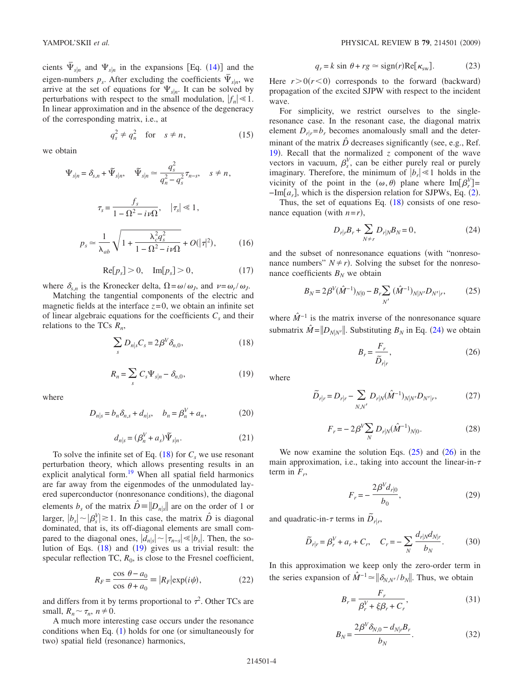cients  $\bar{\Psi}_{s|n}$  and  $\Psi_{s|n}$  in the expansions [Eq. ([14](#page-2-2))] and the eigen-numbers  $p_s$ . After excluding the coefficients  $\bar{\Psi}_{s|n}$ , we arrive at the set of equations for  $\Psi_{s|n}$ . It can be solved by perturbations with respect to the small modulation,  $|f_n| \ll 1$ . In linear approximation and in the absence of the degeneracy of the corresponding matrix, i.e., at

$$
q_s^2 \neq q_n^2 \quad \text{for} \quad s \neq n,\tag{15}
$$

we obtain

<span id="page-3-5"></span>
$$
\Psi_{s|n} = \delta_{s,n} + \widetilde{\Psi}_{s|n}, \quad \widetilde{\Psi}_{s|n} \simeq \frac{q_s^2}{q_n^2 - q_s^2} \tau_{n-s}, \quad s \neq n,
$$
\n
$$
\tau_s = \frac{f_s}{1 - \Omega^2 - i\nu\Omega}, \quad |\tau_s| \ll 1,
$$
\n
$$
p_s \simeq \frac{1}{\lambda_{ab}} \sqrt{1 + \frac{\lambda_c^2 q_s^2}{1 - \Omega^2 - i\nu\Omega} + O(|\tau|^2)}, \qquad (16)
$$

$$
Re[p_s] > 0, \quad Im[p_s] > 0,
$$
 (17)

<span id="page-3-6"></span>where  $\delta_{s,n}$  is the Kronecker delta,  $\Omega = \omega / \omega_J$ , and  $\nu = \omega_r / \omega_J$ .

Matching the tangential components of the electric and magnetic fields at the interface  $z=0$ , we obtain an infinite set of linear algebraic equations for the coefficients  $C_s$  and their relations to the TCs  $R_n$ ,

$$
\sum_{s} D_{n|s} C_s = 2\beta^V \delta_{n,0},\tag{18}
$$

$$
R_n = \sum_s C_s \Psi_{s|n} - \delta_{n,0},\tag{19}
$$

<span id="page-3-1"></span><span id="page-3-0"></span>where

$$
D_{n|s} = b_n \delta_{n,s} + d_{n|s}, \quad b_n = \beta_n^V + a_n,\tag{20}
$$

$$
d_{n|s} = (\beta_n^V + a_s)\tilde{\Psi}_{s|n}.
$$
 (21)

To solve the infinite set of Eq.  $(18)$  $(18)$  $(18)$  for  $C_s$  we use resonant perturbation theory, which allows presenting results in an explicit analytical form. $19$  When all spatial field harmonics are far away from the eigenmodes of the unmodulated layered superconductor (nonresonance conditions), the diagonal elements  $b_s$  of the matrix  $\hat{D} = ||D_{n|s}||$  are on the order of 1 or larger,  $|b_s| \sim |\beta_s^V| \ge 1$ . In this case, the matrix  $\hat{D}$  is diagonal dominated, that is, its off-diagonal elements are small compared to the diagonal ones,  $|d_{n}|s| \sim |\tau_{n-s}| \ll |b_s|$ . Then, the solution of Eqs.  $(18)$  $(18)$  $(18)$  and  $(19)$  $(19)$  $(19)$  gives us a trivial result: the specular reflection TC,  $R_0$ , is close to the Fresnel coefficient,

$$
R_F = \frac{\cos \theta - a_0}{\cos \theta + a_0} \equiv |R_F| \exp(i\psi), \tag{22}
$$

<span id="page-3-7"></span>and differs from it by terms proportional to  $\tau^2$ . Other TCs are small,  $R_n \sim \tau_n$ ,  $n \neq 0$ .

A much more interesting case occurs under the resonance conditions when Eq.  $(1)$  $(1)$  $(1)$  holds for one (or simultaneously for two) spatial field (resonance) harmonics,

$$
q_r = k \sin \theta + rg \approx \text{sign}(r) \text{Re}[\kappa_{sw}]. \tag{23}
$$

<span id="page-3-3"></span>Here  $r > 0$   $(r < 0)$  corresponds to the forward (backward) propagation of the excited SJPW with respect to the incident wave.

For simplicity, we restrict ourselves to the singleresonance case. In the resonant case, the diagonal matrix element  $D_{r|r} = b_r$  becomes anomalously small and the determinant of the matrix  $\hat{D}$  decreases significantly (see, e.g., Ref. [19](#page-7-16)). Recall that the normalized  $z$  component of the wave vectors in vacuum,  $\beta_s^V$ , can be either purely real or purely imaginary. Therefore, the minimum of  $|b_r| \le 1$  holds in the vicinity of the point in the  $(\omega, \theta)$  plane where  $\text{Im}[\beta_r^V] =$  $-\text{Im}[a_r]$ , which is the dispersion relation for SJPWs, Eq. ([2](#page-1-2)).

Thus, the set of equations Eq.  $(18)$  $(18)$  $(18)$  consists of one resonance equation (with  $n=r$ ),

$$
D_{r|r}B_r + \sum_{N \neq r} D_{r|N}B_N = 0, \qquad (24)
$$

<span id="page-3-2"></span>and the subset of nonresonance equations (with "nonresonance numbers"  $N \neq r$ ). Solving the subset for the nonresonance coefficients  $B_N$  we obtain

$$
B_N = 2\beta^V(\hat{M}^{-1})_{N|0} - B_r \sum_{N'} (\hat{M}^{-1})_{N|N'} D_{N'|r},
$$
 (25)

where  $\hat{M}^{-1}$  is the matrix inverse of the nonresonance square submatrix  $\hat{M} = ||D_{N|N'}||$ . Substituting  $B_N$  in Eq. ([24](#page-3-2)) we obtain

$$
B_r = \frac{F_r}{\tilde{D}_{r|r}},\tag{26}
$$

<span id="page-3-4"></span>where

$$
\widetilde{D}_{r|r} = D_{r|r} - \sum_{N,N'} D_{r|N} (\hat{M}^{-1})_{N|N'} D_{N'|r},
$$
\n(27)

$$
F_r = -2\beta^V \sum_N D_{r|N} (\hat{M}^{-1})_{N|0}.
$$
 (28)

We now examine the solution Eqs.  $(25)$  $(25)$  $(25)$  and  $(26)$  $(26)$  $(26)$  in the main approximation, i.e., taking into account the linear-in- $\tau$ term in  $F_r$ ,

$$
F_r = -\frac{2\beta^V d_{r|0}}{b_0},\tag{29}
$$

and quadratic-in- $\tau$  terms in  $\tilde{D}_{r|r}$ ,

$$
\widetilde{D}_{r|r} = \beta_r^V + a_r + C_r, \quad C_r = -\sum_N \frac{d_{r|N}d_{N|r}}{b_N}.
$$
 (30)

In this approximation we keep only the zero-order term in the series expansion of  $\hat{M}^{-1} \approx ||\delta_{N,N'}/b_N||$ . Thus, we obtain

$$
B_r = \frac{F_r}{\beta_r^V + \xi \beta_r + C_r},\tag{31}
$$

$$
B_N = \frac{2\beta^V \delta_{N,0} - d_{N|r}B_r}{b_N}.
$$
\n(32)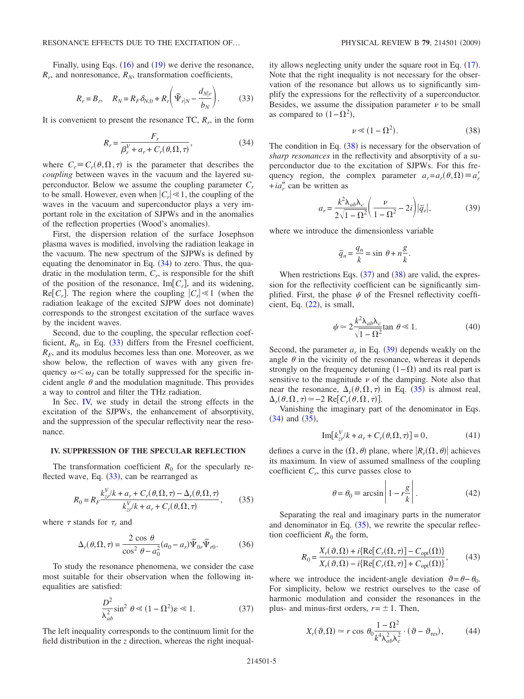Finally, using Eqs.  $(16)$  $(16)$  $(16)$  and  $(19)$  $(19)$  $(19)$  we derive the resonance,  $R_r$ , and nonresonance,  $R_N$ , transformation coefficients,

$$
R_r = B_r, \quad R_N = R_F \delta_{N,0} + R_r \left( \tilde{\Psi}_{r|N} - \frac{d_{N|r}}{b_N} \right). \tag{33}
$$

<span id="page-4-1"></span>It is convenient to present the resonance  $TC, R_r$ , in the form

$$
R_r = \frac{F_r}{\beta_r^V + a_r + C_r(\theta, \Omega, \tau)},
$$
\n(34)

<span id="page-4-0"></span>where  $C_r \equiv C_r(\theta, \Omega, \tau)$  is the parameter that describes the *coupling* between waves in the vacuum and the layered superconductor. Below we assume the coupling parameter  $C_r$ to be small. However, even when  $|C_r| \ll 1$ , the coupling of the waves in the vacuum and superconductor plays a very important role in the excitation of SJPWs and in the anomalies of the reflection properties (Wood's anomalies).

First, the dispersion relation of the surface Josephson plasma waves is modified, involving the radiation leakage in the vacuum. The new spectrum of the SJPWs is defined by equating the denominator in Eq.  $(34)$  $(34)$  $(34)$  to zero. Thus, the quadratic in the modulation term,  $C_r$ , is responsible for the shift of the position of the resonance,  $\text{Im}[C_r]$ , and its widening,  $\text{Re}[C_r]$ . The region where the coupling  $|C_r| \le 1$  (when the radiation leakage of the excited SJPW does not dominate) corresponds to the strongest excitation of the surface waves by the incident waves.

Second, due to the coupling, the specular reflection coefficient,  $R_0$ , in Eq. ([33](#page-4-1)) differs from the Fresnel coefficient,  $R_F$ , and its modulus becomes less than one. Moreover, as we show below, the reflection of waves with any given frequency  $\omega \leq \omega_l$  can be totally suppressed for the specific incident angle  $\theta$  and the modulation magnitude. This provides a way to control and filter the THz radiation.

In Sec. [IV,](#page-4-2) we study in detail the strong effects in the excitation of the SJPWs, the enhancement of absorptivity, and the suppression of the specular reflectivity near the resonance.

#### **IV. SUPPRESSION OF THE SPECULAR REFLECTION**

<span id="page-4-2"></span>The transformation coefficient  $R_0$  for the specularly reflected wave, Eq.  $(33)$  $(33)$  $(33)$ , can be rearranged as

$$
R_0 = R_F \frac{k_{zr}^V / k + a_r + C_r(\theta, \Omega, \tau) - \Delta_r(\theta, \Omega, \tau)}{k_{zr}^V / k + a_r + C_r(\theta, \Omega, \tau)},
$$
(35)

<span id="page-4-6"></span>where  $\tau$  stands for  $\tau_r$  and

$$
\Delta_r(\theta, \Omega, \tau) = \frac{2 \cos \theta}{\cos^2 \theta - a_0^2} (a_0 - a_r) \tilde{\Psi}_{0r} \tilde{\Psi}_{r0}.
$$
 (36)

To study the resonance phenomena, we consider the case most suitable for their observation when the following inequalities are satisfied:

$$
\frac{D^2}{\lambda_{ab}^2} \sin^2 \theta \ll (1 - \Omega^2) \varepsilon \ll 1. \tag{37}
$$

<span id="page-4-4"></span>The left inequality corresponds to the continuum limit for the field distribution in the *z* direction, whereas the right inequal-

ity allows neglecting unity under the square root in Eq.  $(17)$  $(17)$  $(17)$ . Note that the right inequality is not necessary for the observation of the resonance but allows us to significantly simplify the expressions for the reflectivity of a superconductor. Besides, we assume the dissipation parameter  $\nu$  to be small as compared to  $(1 - \Omega^2)$ ,

$$
\nu \ll (1 - \Omega^2). \tag{38}
$$

<span id="page-4-3"></span>The condition in Eq.  $(38)$  $(38)$  $(38)$  is necessary for the observation of *sharp resonances* in the reflectivity and absorptivity of a superconductor due to the excitation of SJPWs. For this frequency region, the complex parameter  $a_r = a_r(\theta, \Omega) \equiv a'_r$  $+i a_r''$  can be written as

$$
a_r = \frac{k^2 \lambda_{ab} \lambda_c}{2\sqrt{1 - \Omega^2}} \left( \frac{\nu}{1 - \Omega^2} - 2i \right) |\overline{q}_r|,
$$
 (39)

<span id="page-4-5"></span>where we introduce the dimensionless variable

$$
\overline{q}_n = \frac{q_n}{k} = \sin \theta + n\frac{g}{k}.
$$

When restrictions Eqs.  $(37)$  $(37)$  $(37)$  and  $(38)$  $(38)$  $(38)$  are valid, the expression for the reflectivity coefficient can be significantly simplified. First, the phase  $\psi$  of the Fresnel reflectivity coefficient, Eq.  $(22)$  $(22)$  $(22)$ , is small,

$$
\psi \simeq 2 \frac{k^2 \lambda_{ab} \lambda_c}{\sqrt{1 - \Omega^2}} \tan \theta \ll 1. \tag{40}
$$

Second, the parameter  $a_r$  in Eq. ([39](#page-4-5)) depends weakly on the angle  $\theta$  in the vicinity of the resonance, whereas it depends strongly on the frequency detuning  $(1 - \Omega)$  and its real part is sensitive to the magnitude  $\nu$  of the damping. Note also that near the resonance,  $\Delta_r(\theta, \Omega, \tau)$  in Eq. ([35](#page-4-6)) is almost real,  $\Delta_r(\theta,\Omega,\tau) \approx -2 \text{ Re}[C_r(\theta,\Omega,\tau)].$ 

Vanishing the imaginary part of the denominator in Eqs.  $(34)$  $(34)$  $(34)$  and  $(35)$  $(35)$  $(35)$ ,

$$
\text{Im}[k_{z}^{V}/k + a_{r} + C_{r}(\theta, \Omega, \tau)] = 0, \qquad (41)
$$

defines a curve in the  $(\Omega, \theta)$  plane, where  $|R_r(\Omega, \theta)|$  achieves its maximum. In view of assumed smallness of the coupling coefficient  $C_r$ , this curve passes close to

$$
\theta = \theta_0 \equiv \arcsin\left|1 - r\frac{g}{k}\right|.
$$
 (42)

Separating the real and imaginary parts in the numerator and denominator in Eq.  $(35)$  $(35)$  $(35)$ , we rewrite the specular reflection coefficient  $R_0$  the form,

$$
R_0 = \frac{X_r(\vartheta, \Omega) + i\{\text{Re}[C_r(\Omega, \tau)] - C_{\text{opt}}(\Omega)\}}{X_r(\vartheta, \Omega) - i\{\text{Re}[C_r(\Omega, \tau)] + C_{\text{opt}}(\Omega)\}},
$$
(43)

<span id="page-4-7"></span>where we introduce the incident-angle deviation  $\vartheta = \theta - \theta_0$ . For simplicity, below we restrict ourselves to the case of harmonic modulation and consider the resonances in the plus- and minus-first orders,  $r = \pm 1$ . Then,

$$
X_r(\vartheta,\Omega) \simeq r \cos \theta_0 \frac{1-\Omega^2}{k^4 \lambda_{ab}^2 \lambda_c^2} \cdot (\vartheta - \vartheta_{\text{res}}), \tag{44}
$$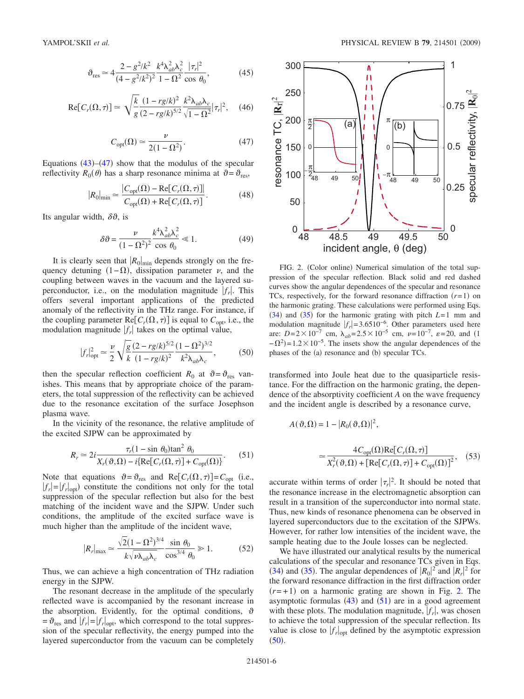$$
\vartheta_{\rm res} \simeq 4 \frac{2 - g^2 / k^2}{(4 - g^2 / k^2)^2} \frac{k^4 \lambda_{ab}^2 \lambda_c^2}{1 - \Omega^2} \frac{|\tau_r|^2}{\cos \theta_0},\tag{45}
$$

Re[
$$
C_r(\Omega, \tau)
$$
]  $\simeq \sqrt{\frac{k}{g}} \frac{(1 - rg/k)^2}{(2 - rg/k)^{5/2}} \frac{k^2 \lambda_{ab} \lambda_c}{\sqrt{1 - \Omega^2}} |\tau_r|^2$ , (46)

$$
C_{\text{opt}}(\Omega) \simeq \frac{\nu}{2(1 - \Omega^2)}.\tag{47}
$$

<span id="page-5-0"></span>Equations  $(43)$  $(43)$  $(43)$ – $(47)$  $(47)$  $(47)$  show that the modulus of the specular reflectivity  $R_0(\theta)$  has a sharp resonance minima at  $\vartheta = \vartheta_{\text{res}}$ ,

$$
|R_0|_{\min} \simeq \frac{|C_{\text{opt}}(\Omega) - \text{Re}[C_r(\Omega, \tau)]|}{C_{\text{opt}}(\Omega) + \text{Re}[C_r(\Omega, \tau)]}.
$$
 (48)

Its angular width,  $\delta \vartheta$ , is

$$
\delta\vartheta = \frac{\nu}{(1 - \Omega^2)^2} \frac{k^4 \lambda_{ab}^2 \lambda_c^2}{\cos \theta_0} \ll 1.
$$
 (49)

It is clearly seen that  $|R_0|_{\text{min}}$  depends strongly on the frequency detuning  $(1 - \Omega)$ , dissipation parameter  $\nu$ , and the coupling between waves in the vacuum and the layered superconductor, i.e., on the modulation magnitude  $|f_r|$ . This offers several important applications of the predicted anomaly of the reflectivity in the THz range. For instance, if the coupling parameter  $\text{Re}[C_r(\Omega,\tau)]$  is equal to  $C_{\text{opt}}$ , i.e., the modulation magnitude  $|f_r|$  takes on the optimal value,

$$
|f_r|^2_{\text{opt}} \simeq \frac{\nu}{2} \sqrt{\frac{g}{k} \frac{(2 - rg/k)^{5/2}}{(1 - rg/k)^2} \frac{(1 - \Omega^2)^{3/2}}{k^2 \lambda_{ab} \lambda_c}},\tag{50}
$$

<span id="page-5-3"></span>then the specular reflection coefficient  $R_0$  at  $\vartheta = \vartheta_{\text{res}}$  vanishes. This means that by appropriate choice of the parameters, the total suppression of the reflectivity can be achieved due to the resonance excitation of the surface Josephson plasma wave.

In the vicinity of the resonance, the relative amplitude of the excited SJPW can be approximated by

$$
R_r \simeq 2i \frac{\tau_r (1 - \sin \theta_0) \tan^2 \theta_0}{X_r(\vartheta, \Omega) - i \{\text{Re} [C_r(\Omega, \tau)] + C_{\text{opt}}(\Omega) \}}.
$$
 (51)

<span id="page-5-2"></span>Note that equations  $\vartheta = \vartheta_{\text{res}}$  and Re[ $C_r(\Omega, \tau)$ ] =  $C_{\text{opt}}$  (i.e.,  $|f_r| = |f_r|_{\text{opt}}$  constitute the conditions not only for the total suppression of the specular reflection but also for the best matching of the incident wave and the SJPW. Under such conditions, the amplitude of the excited surface wave is much higher than the amplitude of the incident wave,

$$
|R_r|_{\text{max}} \simeq \frac{\sqrt{2}(1 - \Omega^2)^{3/4}}{k\sqrt{\nu\lambda_{ab}\lambda_c}} \frac{\sin \theta_0}{\cos^{3/4} \theta_0} \gg 1. \tag{52}
$$

Thus, we can achieve a high concentration of THz radiation energy in the SJPW.

The resonant decrease in the amplitude of the specularly reflected wave is accompanied by the resonant increase in the absorption. Evidently, for the optimal conditions,  $\vartheta$  $=\vartheta_{\text{res}}$  and  $|f_r|=|f_r|_{\text{opt}}$ , which correspond to the total suppression of the specular reflectivity, the energy pumped into the layered superconductor from the vacuum can be completely

<span id="page-5-1"></span>

FIG. 2. (Color online) Numerical simulation of the total suppression of the specular reflection. Black solid and red dashed curves show the angular dependences of the specular and resonance TCs, respectively, for the forward resonance diffraction  $(r=1)$  on the harmonic grating. These calculations were performed using Eqs.  $(34)$  $(34)$  $(34)$  and  $(35)$  $(35)$  $(35)$  for the harmonic grating with pitch  $L=1$  mm and modulation magnitude  $|f_r|=3.6510^{-6}$ . Other parameters used here are:  $D=2\times10^{-7}$  cm,  $\lambda_{ab}=2.5\times10^{-5}$  cm,  $\nu=10^{-7}$ ,  $\varepsilon=20$ , and (1)  $-\Omega^2$ )=1.2 × 10<sup>-5</sup>. The insets show the angular dependences of the phases of the (a) resonance and (b) specular TCs.

transformed into Joule heat due to the quasiparticle resistance. For the diffraction on the harmonic grating, the dependence of the absorptivity coefficient *A* on the wave frequency and the incident angle is described by a resonance curve,

$$
(\vartheta, \Omega) = 1 - |R_0(\vartheta, \Omega)|^2,
$$
  

$$
\simeq \frac{4C_{\text{opt}}(\Omega) \text{Re}[C_r(\Omega, \tau)]}{X_r^2(\vartheta, \Omega) + [\text{Re}[C_r(\Omega, \tau)] + C_{\text{opt}}(\Omega)]^2},
$$
(53)

accurate within terms of order  $|\tau_r|^2$ . It should be noted that the resonance increase in the electromagnetic absorption can result in a transition of the superconductor into normal state. Thus, new kinds of resonance phenomena can be observed in layered superconductors due to the excitation of the SJPWs. However, for rather low intensities of the incident wave, the sample heating due to the Joule losses can be neglected.

We have illustrated our analytical results by the numerical calculations of the specular and resonance TCs given in Eqs. ([34](#page-4-0)) and ([35](#page-4-6)). The angular dependences of  $|R_0|^2$  and  $|R_r|^2$  for the forward resonance diffraction in the first diffraction order  $(r=+1)$  on a harmonic grating are shown in Fig. [2.](#page-5-1) The asymptotic formulas  $(43)$  $(43)$  $(43)$  and  $(51)$  $(51)$  $(51)$  are in a good agreement with these plots. The modulation magnitude,  $|f_r|$ , was chosen to achieve the total suppression of the specular reflection. Its value is close to  $|f_r|_{opt}$  defined by the asymptotic expression  $(50).$  $(50).$  $(50).$ 

*A*,-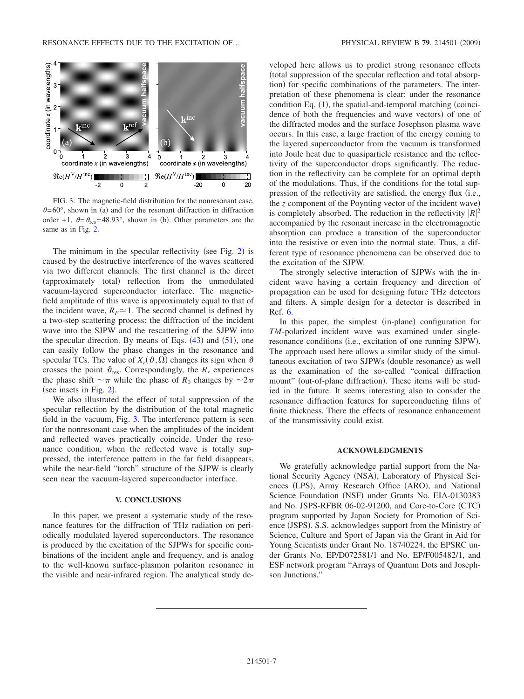<span id="page-6-0"></span>

FIG. 3. The magnetic-field distribution for the nonresonant case,  $\theta$ =60°, shown in (a) and for the resonant diffraction in diffraction order +1,  $\theta = \theta_{\text{res}} = 48.93^{\circ}$ , shown in (b). Other parameters are the same as in Fig. [2.](#page-5-1)

The minimum in the specular reflectivity (see Fig.  $2$ ) is caused by the destructive interference of the waves scattered via two different channels. The first channel is the direct (approximately total) reflection from the unmodulated vacuum-layered superconductor interface. The magneticfield amplitude of this wave is approximately equal to that of the incident wave,  $R_F \approx 1$ . The second channel is defined by a two-step scattering process: the diffraction of the incident wave into the SJPW and the rescattering of the SJPW into the specular direction. By means of Eqs.  $(43)$  $(43)$  $(43)$  and  $(51)$  $(51)$  $(51)$ , one can easily follow the phase changes in the resonance and specular TCs. The value of  $X_r(\vartheta,\Omega)$  changes its sign when  $\vartheta$ crosses the point  $\vartheta_{\text{res}}$ . Correspondingly, the  $R_r$  experiences the phase shift  $\sim \pi$  while the phase of  $R_0$  changes by  $\sim 2\pi$ (see insets in Fig.  $2$ ).

We also illustrated the effect of total suppression of the specular reflection by the distribution of the total magnetic field in the vacuum, Fig. [3.](#page-6-0) The interference pattern is seen for the nonresonant case when the amplitudes of the incident and reflected waves practically coincide. Under the resonance condition, when the reflected wave is totally suppressed, the interference pattern in the far field disappears, while the near-field "torch" structure of the SJPW is clearly seen near the vacuum-layered superconductor interface.

#### **V. CONCLUSIONS**

In this paper, we present a systematic study of the resonance features for the diffraction of THz radiation on periodically modulated layered superconductors. The resonance is produced by the excitation of the SJPWs for specific combinations of the incident angle and frequency, and is analog to the well-known surface-plasmon polariton resonance in the visible and near-infrared region. The analytical study developed here allows us to predict strong resonance effects total suppression of the specular reflection and total absorption) for specific combinations of the parameters. The interpretation of these phenomena is clear: under the resonance condition Eq.  $(1)$  $(1)$  $(1)$ , the spatial-and-temporal matching (coincidence of both the frequencies and wave vectors) of one of the diffracted modes and the surface Josephson plasma wave occurs. In this case, a large fraction of the energy coming to the layered superconductor from the vacuum is transformed into Joule heat due to quasiparticle resistance and the reflectivity of the superconductor drops significantly. The reduction in the reflectivity can be complete for an optimal depth of the modulations. Thus, if the conditions for the total suppression of the reflectivity are satisfied, the energy flux (i.e., the *z* component of the Poynting vector of the incident wave) is completely absorbed. The reduction in the reflectivity  $|R|^2$ accompanied by the resonant increase in the electromagnetic absorption can produce a transition of the superconductor into the resistive or even into the normal state. Thus, a different type of resonance phenomena can be observed due to the excitation of the SJPW.

The strongly selective interaction of SJPWs with the incident wave having a certain frequency and direction of propagation can be used for designing future THz detectors and filters. A simple design for a detector is described in Ref. [6.](#page-7-17)

In this paper, the simplest (in-plane) configuration for *TM*-polarized incident wave was examined under singleresonance conditions (i.e., excitation of one running SJPW). The approach used here allows a similar study of the simultaneous excitation of two SJPWs (double resonance) as well as the examination of the so-called "conical diffraction mount" (out-of-plane diffraction). These items will be studied in the future. It seems interesting also to consider the resonance diffraction features for superconducting films of finite thickness. There the effects of resonance enhancement of the transmissivity could exist.

#### **ACKNOWLEDGMENTS**

We gratefully acknowledge partial support from the National Security Agency (NSA), Laboratory of Physical Sciences (LPS), Army Research Office (ARO), and National Science Foundation (NSF) under Grants No. EIA-0130383 and No. JSPS-RFBR 06-02-91200, and Core-to-Core (CTC) program supported by Japan Society for Promotion of Science (JSPS). S.S. acknowledges support from the Ministry of Science, Culture and Sport of Japan via the Grant in Aid for Young Scientists under Grant No. 18740224, the EPSRC under Grants No. EP/D072581/1 and No. EP/F005482/1, and ESF network program "Arrays of Quantum Dots and Josephson Junctions."